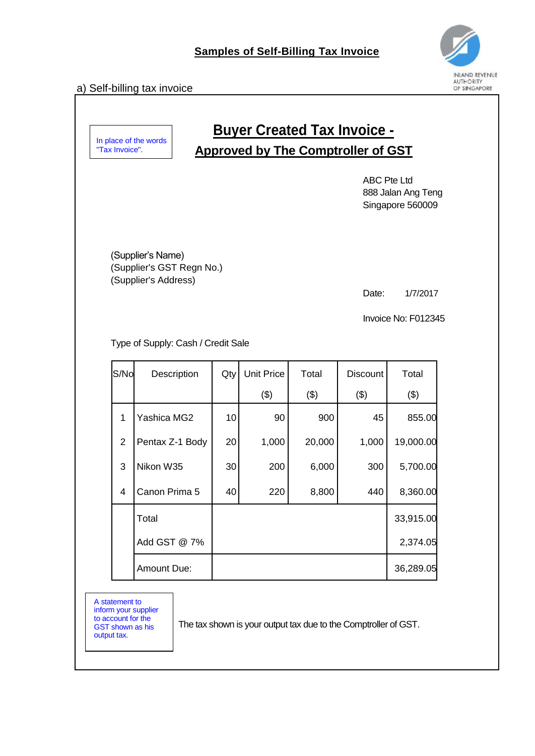## a) Self-billing tax invoice



## **Buyer Created Tax Invoice - Approved by The Comptroller of GST**

ABC Pte Ltd 888 Jalan Ang Teng Singapore 560009

(Supplier's Name) (Supplier's GST Regn No.) (Supplier's Address)

Date: 1/7/2017

Invoice No: F012345

Type of Supply: Cash / Credit Sale

| S/No | Description     | Qty | <b>Unit Price</b> | Total  | <b>Discount</b> | Total     |
|------|-----------------|-----|-------------------|--------|-----------------|-----------|
|      |                 |     | (3)               | (3)    | (3)             | (3)       |
| 1    | Yashica MG2     | 10  | 90                | 900    | 45              | 855.00    |
| 2    | Pentax Z-1 Body | 20  | 1,000             | 20,000 | 1,000           | 19,000.00 |
| 3    | Nikon W35       | 30  | 200               | 6,000  | 300             | 5,700.00  |
| 4    | Canon Prima 5   | 40  | 220               | 8,800  | 440             | 8,360.00  |
|      | Total           |     |                   |        |                 | 33,915.00 |
|      | Add GST @ 7%    |     |                   |        |                 | 2,374.05  |
|      | Amount Due:     |     |                   |        |                 | 36,289.05 |

A statement to inform your supplier to account for the GST shown as his output tax.

The tax shown is your output tax due to the Comptroller of GST.